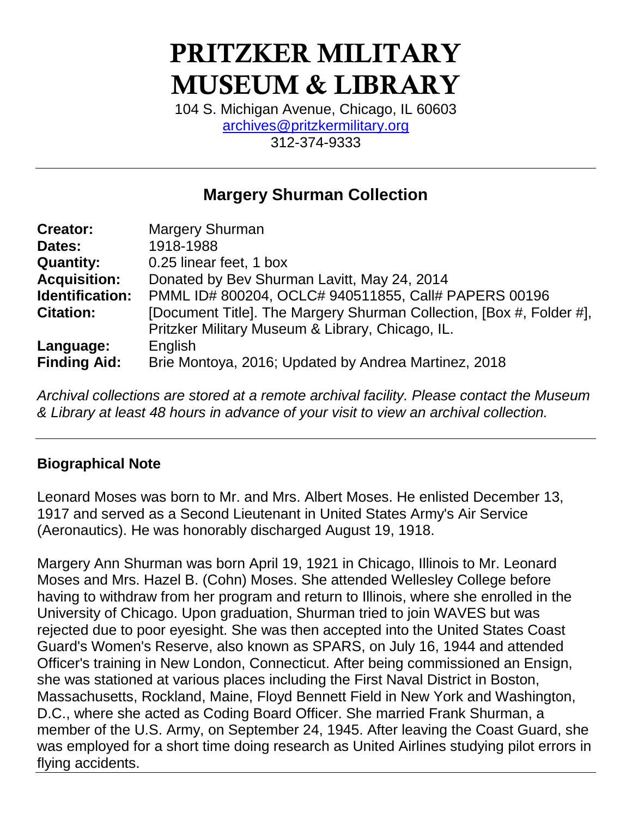# PRITZKER MILITARY MUSEUM & LIBRARY

104 S. Michigan Avenue, Chicago, IL 60603 [archives@pritzkermilitary.org](mailto:archives@pritzkermilitary.org) 312-374-9333

## **Margery Shurman Collection**

| <b>Creator:</b>     | <b>Margery Shurman</b>                                               |
|---------------------|----------------------------------------------------------------------|
| Dates:              | 1918-1988                                                            |
| <b>Quantity:</b>    | 0.25 linear feet, 1 box                                              |
| <b>Acquisition:</b> | Donated by Bev Shurman Lavitt, May 24, 2014                          |
| Identification:     | PMML ID# 800204, OCLC# 940511855, Call# PAPERS 00196                 |
| <b>Citation:</b>    | [Document Title]. The Margery Shurman Collection, [Box #, Folder #], |
|                     | Pritzker Military Museum & Library, Chicago, IL.                     |
| Language:           | English                                                              |
| <b>Finding Aid:</b> | Brie Montoya, 2016; Updated by Andrea Martinez, 2018                 |

*Archival collections are stored at a remote archival facility. Please contact the Museum & Library at least 48 hours in advance of your visit to view an archival collection.*

## **Biographical Note**

Leonard Moses was born to Mr. and Mrs. Albert Moses. He enlisted December 13, 1917 and served as a Second Lieutenant in United States Army's Air Service (Aeronautics). He was honorably discharged August 19, 1918.

Margery Ann Shurman was born April 19, 1921 in Chicago, Illinois to Mr. Leonard Moses and Mrs. Hazel B. (Cohn) Moses. She attended Wellesley College before having to withdraw from her program and return to Illinois, where she enrolled in the University of Chicago. Upon graduation, Shurman tried to join WAVES but was rejected due to poor eyesight. She was then accepted into the United States Coast Guard's Women's Reserve, also known as SPARS, on July 16, 1944 and attended Officer's training in New London, Connecticut. After being commissioned an Ensign, she was stationed at various places including the First Naval District in Boston, Massachusetts, Rockland, Maine, Floyd Bennett Field in New York and Washington, D.C., where she acted as Coding Board Officer. She married Frank Shurman, a member of the U.S. Army, on September 24, 1945. After leaving the Coast Guard, she was employed for a short time doing research as United Airlines studying pilot errors in flying accidents.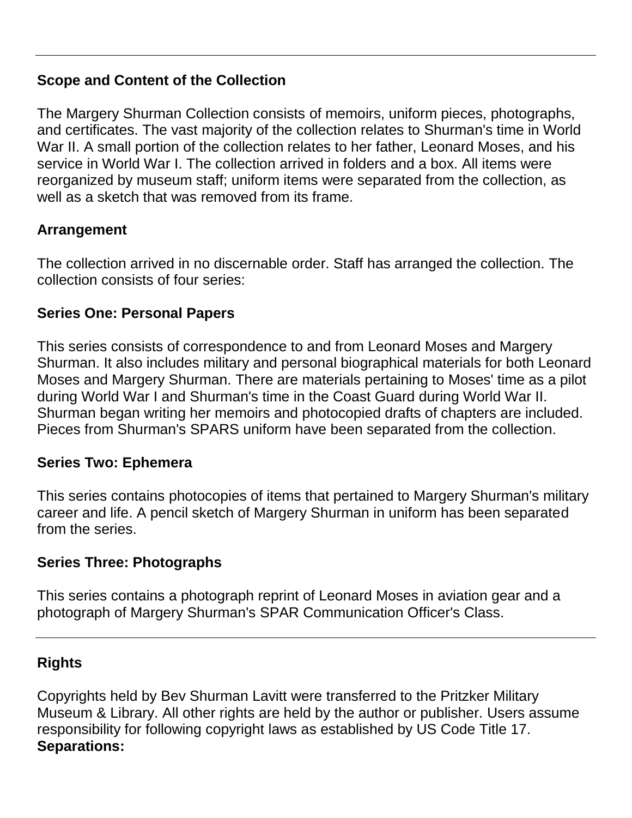## **Scope and Content of the Collection**

The Margery Shurman Collection consists of memoirs, uniform pieces, photographs, and certificates. The vast majority of the collection relates to Shurman's time in World War II. A small portion of the collection relates to her father, Leonard Moses, and his service in World War I. The collection arrived in folders and a box. All items were reorganized by museum staff; uniform items were separated from the collection, as well as a sketch that was removed from its frame.

## **Arrangement**

The collection arrived in no discernable order. Staff has arranged the collection. The collection consists of four series:

## **Series One: Personal Papers**

This series consists of correspondence to and from Leonard Moses and Margery Shurman. It also includes military and personal biographical materials for both Leonard Moses and Margery Shurman. There are materials pertaining to Moses' time as a pilot during World War I and Shurman's time in the Coast Guard during World War II. Shurman began writing her memoirs and photocopied drafts of chapters are included. Pieces from Shurman's SPARS uniform have been separated from the collection.

#### **Series Two: Ephemera**

This series contains photocopies of items that pertained to Margery Shurman's military career and life. A pencil sketch of Margery Shurman in uniform has been separated from the series.

## **Series Three: Photographs**

This series contains a photograph reprint of Leonard Moses in aviation gear and a photograph of Margery Shurman's SPAR Communication Officer's Class.

## **Rights**

Copyrights held by Bev Shurman Lavitt were transferred to the Pritzker Military Museum & Library. All other rights are held by the author or publisher. Users assume responsibility for following copyright laws as established by US Code Title 17. **Separations:**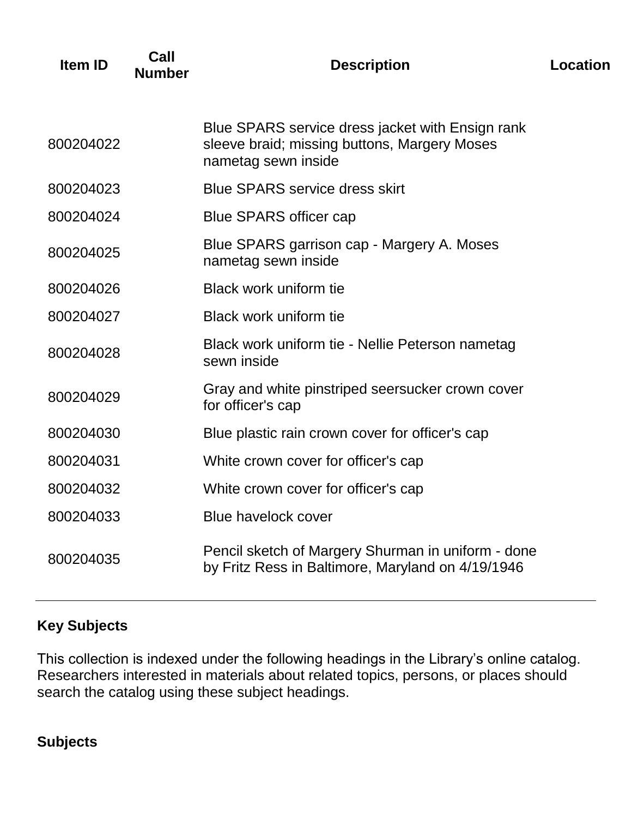| Item ID   | Call<br><b>Number</b> | <b>Description</b>                                                                                                      | Location |
|-----------|-----------------------|-------------------------------------------------------------------------------------------------------------------------|----------|
| 800204022 |                       | Blue SPARS service dress jacket with Ensign rank<br>sleeve braid; missing buttons, Margery Moses<br>nametag sewn inside |          |
| 800204023 |                       | <b>Blue SPARS service dress skirt</b>                                                                                   |          |
| 800204024 |                       | <b>Blue SPARS officer cap</b>                                                                                           |          |
| 800204025 |                       | Blue SPARS garrison cap - Margery A. Moses<br>nametag sewn inside                                                       |          |
| 800204026 |                       | <b>Black work uniform tie</b>                                                                                           |          |
| 800204027 |                       | Black work uniform tie                                                                                                  |          |
| 800204028 |                       | Black work uniform tie - Nellie Peterson nametag<br>sewn inside                                                         |          |
| 800204029 |                       | Gray and white pinstriped seersucker crown cover<br>for officer's cap                                                   |          |
| 800204030 |                       | Blue plastic rain crown cover for officer's cap                                                                         |          |
| 800204031 |                       | White crown cover for officer's cap                                                                                     |          |
| 800204032 |                       | White crown cover for officer's cap                                                                                     |          |
| 800204033 |                       | <b>Blue havelock cover</b>                                                                                              |          |
| 800204035 |                       | Pencil sketch of Margery Shurman in uniform - done<br>by Fritz Ress in Baltimore, Maryland on 4/19/1946                 |          |

## **Key Subjects**

This collection is indexed under the following headings in the Library's online catalog. Researchers interested in materials about related topics, persons, or places should search the catalog using these subject headings.

## **Subjects**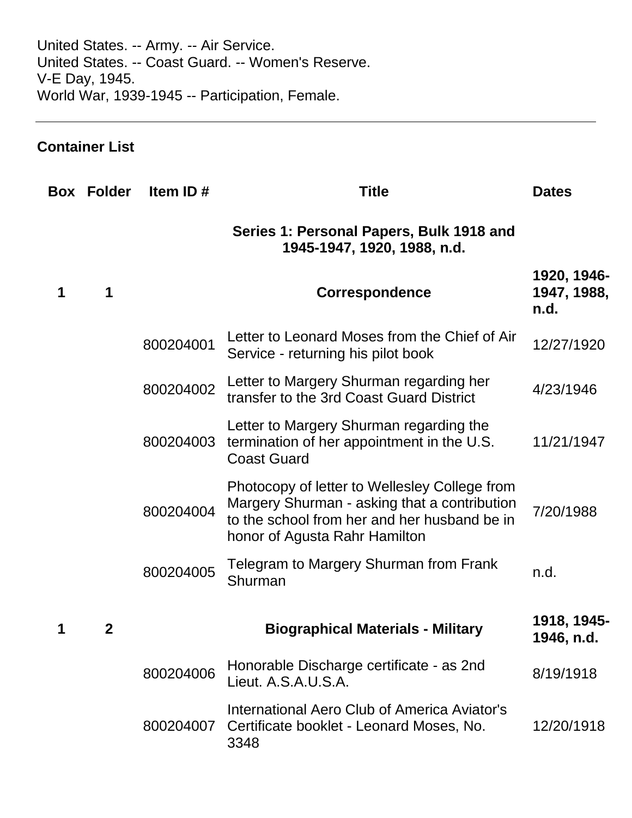United States. -- Army. -- Air Service. United States. -- Coast Guard. -- Women's Reserve. V-E Day, 1945. World War, 1939-1945 -- Participation, Female.

## **Container List**

| <b>Box Folder</b> | Item ID $#$ | <b>Title</b>                                                                                                                                                                   | <b>Dates</b>                       |
|-------------------|-------------|--------------------------------------------------------------------------------------------------------------------------------------------------------------------------------|------------------------------------|
|                   |             | Series 1: Personal Papers, Bulk 1918 and<br>1945-1947, 1920, 1988, n.d.                                                                                                        |                                    |
| 1                 |             | <b>Correspondence</b>                                                                                                                                                          | 1920, 1946-<br>1947, 1988,<br>n.d. |
|                   | 800204001   | Letter to Leonard Moses from the Chief of Air<br>Service - returning his pilot book                                                                                            | 12/27/1920                         |
|                   | 800204002   | Letter to Margery Shurman regarding her<br>transfer to the 3rd Coast Guard District                                                                                            | 4/23/1946                          |
|                   | 800204003   | Letter to Margery Shurman regarding the<br>termination of her appointment in the U.S.<br><b>Coast Guard</b>                                                                    | 11/21/1947                         |
|                   | 800204004   | Photocopy of letter to Wellesley College from<br>Margery Shurman - asking that a contribution<br>to the school from her and her husband be in<br>honor of Agusta Rahr Hamilton | 7/20/1988                          |
|                   | 800204005   | Telegram to Margery Shurman from Frank<br>Shurman                                                                                                                              | n.d.                               |
| $\mathbf 2$       |             | <b>Biographical Materials - Military</b>                                                                                                                                       | 1918, 1945-<br>1946, n.d.          |
|                   | 800204006   | Honorable Discharge certificate - as 2nd<br>Lieut. A.S.A.U.S.A.                                                                                                                | 8/19/1918                          |
|                   | 800204007   | International Aero Club of America Aviator's<br>Certificate booklet - Leonard Moses, No.<br>3348                                                                               | 12/20/1918                         |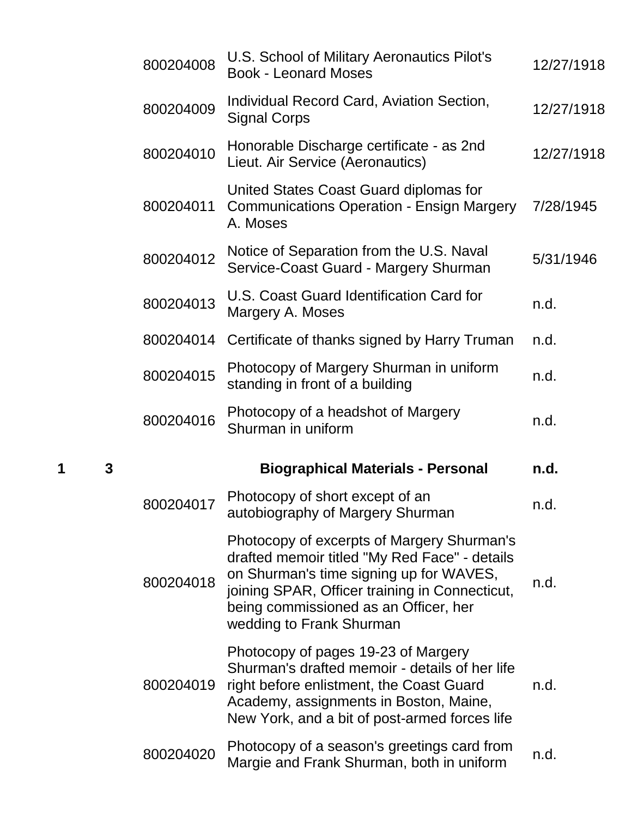|   |   | 800204008 | U.S. School of Military Aeronautics Pilot's<br><b>Book - Leonard Moses</b>                                                                                                                                                                                    | 12/27/1918 |
|---|---|-----------|---------------------------------------------------------------------------------------------------------------------------------------------------------------------------------------------------------------------------------------------------------------|------------|
|   |   | 800204009 | Individual Record Card, Aviation Section,<br><b>Signal Corps</b>                                                                                                                                                                                              | 12/27/1918 |
|   |   | 800204010 | Honorable Discharge certificate - as 2nd<br>Lieut. Air Service (Aeronautics)                                                                                                                                                                                  | 12/27/1918 |
|   |   | 800204011 | United States Coast Guard diplomas for<br><b>Communications Operation - Ensign Margery</b><br>A. Moses                                                                                                                                                        | 7/28/1945  |
|   |   | 800204012 | Notice of Separation from the U.S. Naval<br>Service-Coast Guard - Margery Shurman                                                                                                                                                                             | 5/31/1946  |
|   |   | 800204013 | U.S. Coast Guard Identification Card for<br>Margery A. Moses                                                                                                                                                                                                  | n.d.       |
|   |   | 800204014 | Certificate of thanks signed by Harry Truman                                                                                                                                                                                                                  | n.d.       |
|   |   | 800204015 | Photocopy of Margery Shurman in uniform<br>standing in front of a building                                                                                                                                                                                    | n.d.       |
|   |   | 800204016 | Photocopy of a headshot of Margery<br>Shurman in uniform                                                                                                                                                                                                      | n.d.       |
| 1 | 3 |           | <b>Biographical Materials - Personal</b>                                                                                                                                                                                                                      | n.d.       |
|   |   | 800204017 | Photocopy of short except of an<br>autobiography of Margery Shurman                                                                                                                                                                                           | n.d.       |
|   |   | 800204018 | Photocopy of excerpts of Margery Shurman's<br>drafted memoir titled "My Red Face" - details<br>on Shurman's time signing up for WAVES,<br>joining SPAR, Officer training in Connecticut,<br>being commissioned as an Officer, her<br>wedding to Frank Shurman | n.d.       |
|   |   |           |                                                                                                                                                                                                                                                               |            |
|   |   | 800204019 | Photocopy of pages 19-23 of Margery<br>Shurman's drafted memoir - details of her life<br>right before enlistment, the Coast Guard<br>Academy, assignments in Boston, Maine,<br>New York, and a bit of post-armed forces life                                  | n.d.       |